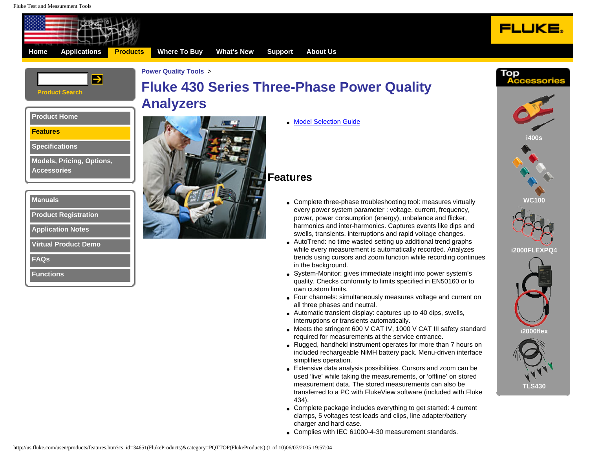<span id="page-0-0"></span>



# **[F](http://us.fluke.com/usen/apps/electronics/)l[uke 430](http://us.fluke.com/usen/products/category.htm?category=FBC(FlukeProducts)) [Se](http://us.fluke.com/usen/products/category.htm?category=BEN(FlukeProducts))ries T[hree-Ph](http://us.fluke.com/usen/new/NewProduct/)[ase Power](http://us.fluke.com/usen/support/calservice/)[Qu](http://us.fluke.com/usen/about/Employment/)ality [Analy](http://us.fluke.com/usen/apps/PM/)[zers](http://us.fluke.com/usen/products/category.htm?category=CAL(FlukeProducts))**

●[Model Selection Guide](#page-0-0)



**[Features](#page-0-0)**

**[Specifications](http://us.fluke.com/usen/products/specifications.htm?cs_id=34651(FlukeProducts)&category=PQTTOP(FlukeProducts))**

**[Models, Pricing, Options,](http://us.fluke.com/usen/products/moa.htm?cs_id=34651(FlukeProducts)&category=PQTTOP(FlukeProducts))  [Accessories](http://us.fluke.com/usen/products/moa.htm?cs_id=34651(FlukeProducts)&category=PQTTOP(FlukeProducts))**

| <b>Manuals</b>              |
|-----------------------------|
| <b>Product Registration</b> |

**[Application Notes](http://us.fluke.com/usen/support/appnotes/default?category=AP_PQ(FlukeProducts)&parent=APP_NOTES(FlukeProducts))**

**[Virtual Product Demo](javascript:PopItUp()**

**[FAQs](http://us.fluke.com/usen/products/430faq.htm)**

**[Functions](http://us.fluke.com/usen/products/433functions.htm)**



## **Features**

- Complete three-phase troubleshooting tool: measures virtually every power system parameter : voltage, current, frequency, power, power consumption (energy), unbalance and flicker, harmonics and inter-harmonics. Captures events like dips and swells, transients, interruptions and rapid voltage changes.
- AutoTrend: no time wasted setting up additional trend graphs while every measurement is automatically recorded. Analyzes trends using cursors and zoom function while recording continues in the background.
- System-Monitor: gives immediate insight into power system's quality. Checks conformity to limits specified in EN50160 or to own custom limits.
- Four channels: simultaneously measures voltage and current on all three phases and neutral.
- Automatic transient display: captures up to 40 dips, swells, interruptions or transients automatically.
- Meets the stringent 600 V CAT IV, 1000 V CAT III safety standard required for measurements at the service entrance.
- Rugged, handheld instrument operates for more than 7 hours on included rechargeable NiMH battery pack. Menu-driven interface simplifies operation.
- Extensive data analysis possibilities. Cursors and zoom can be used 'live' while taking the measurements, or 'offline' on stored measurement data. The stored measurements can also be transferred to a PC with FlukeView software (included with Fluke 434).
- Complete package includes everything to get started: 4 current clamps, 5 voltages test leads and clips, line adapter/battery charger and hard case.
- Complies with IEC 61000-4-30 measurement standards.

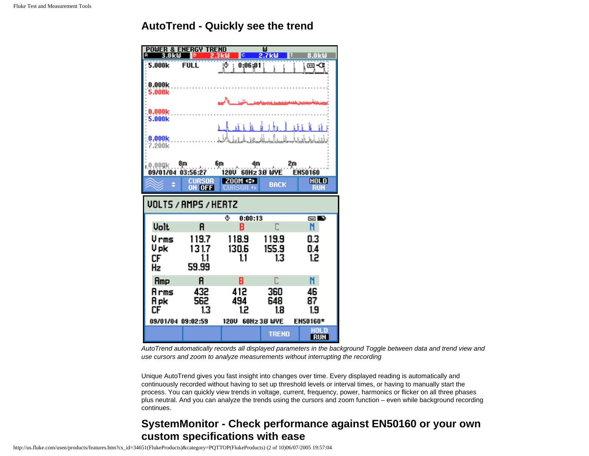## **AutoTrend - Quickly see the trend**

| <b>POWER</b><br><b>&amp; ENERGY TREND</b><br>ω<br>A<br>2.7kW<br>3.A<br>30 |                         |                        |                    |                           |
|---------------------------------------------------------------------------|-------------------------|------------------------|--------------------|---------------------------|
| 5.000k                                                                    | <b>FULL</b>             | 0:06:01<br>ĮΦ          |                    | ⊡∹ே                       |
| 0.000k<br>5.000k                                                          |                         |                        |                    |                           |
|                                                                           |                         |                        |                    |                           |
| 0.000k<br>5.000 <sub>k</sub>                                              |                         |                        |                    |                           |
| 0.000k<br>7.200k                                                          |                         | ah kilik               | is kit             | i in                      |
| 0.000k<br>09/01/04                                                        | 03:56:27                | 6m<br>4m<br>120U       | 2m<br>60Hz 3.8 WYE | <b>EN50160</b>            |
|                                                                           | <b>CURSOR</b><br>OH OFF | $Z00M \Leftrightarrow$ | <b>BACK</b>        | <b>HOLD</b><br><b>RUN</b> |
| <b>VOLTS / AMPS / HERTZ</b>                                               |                         |                        |                    |                           |
|                                                                           |                         |                        |                    |                           |
|                                                                           |                         | ۰<br>0:00:13           |                    | ◚◙                        |
| <b>Volt</b>                                                               | A                       | B                      |                    | N                         |
| Vrms                                                                      | 119.7                   | 118.9                  | 119.9              | 0.3                       |
| V pk                                                                      | 131.7                   | 130.6                  | 155.9              | 0.4                       |
| СF<br>Hz                                                                  | 1.1<br>59.99            | 1.1                    | 13                 | 1.2                       |
| Amp                                                                       | A                       | B                      | C                  | N                         |
| Arms<br>Apk                                                               | 432<br>562              | 412<br>494             | 360<br>648         | 46<br>87                  |
| СF                                                                        | 1.3                     | 1.2                    | 1.8                | 1.9                       |
| 09/01/04 09:02:59                                                         |                         | 120U                   | 60Hz 3.8 WYE       | EN50160*<br><b>HOLD</b>   |

*AutoTrend automatically records all displayed parameters in the background Toggle between data and trend view and use cursors and zoom to analyze measurements without interrupting the recording* 

Unique AutoTrend gives you fast insight into changes over time. Every displayed reading is automatically and continuously recorded without having to set up threshold levels or interval times, or having to manually start the process. You can quickly view trends in voltage, current, frequency, power, harmonics or flicker on all three phases plus neutral. And you can analyze the trends using the cursors and zoom function – even while background recording continues.

# **SystemMonitor - Check performance against EN50160 or your own custom specifications with ease**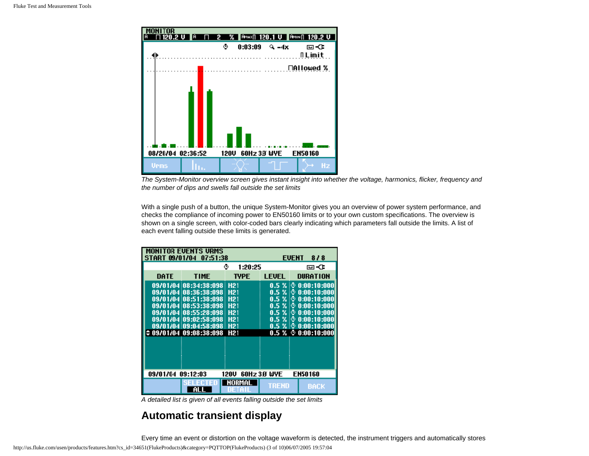

*The System-Monitor overview screen gives instant insight into whether the voltage, harmonics, flicker, frequency and the number of dips and swells fall outside the set limits*

With a single push of a button, the unique System-Monitor gives you an overview of power system performance, and checks the compliance of incoming power to EN50160 limits or to your own custom specifications. The overview is shown on a single screen, with color-coded bars clearly indicating which parameters fall outside the limits. A list of each event falling outside these limits is generated.

| <b>MONITOR EVENTS URMS</b><br>START 09/01/04 07:51:38<br><b>EVENT</b><br>818 |                                                                                                                                                    |                                                                                                           |                                                                                         |                                                                                                                                   |
|------------------------------------------------------------------------------|----------------------------------------------------------------------------------------------------------------------------------------------------|-----------------------------------------------------------------------------------------------------------|-----------------------------------------------------------------------------------------|-----------------------------------------------------------------------------------------------------------------------------------|
|                                                                              | ٠<br>1:20:25                                                                                                                                       |                                                                                                           |                                                                                         | ⊡⊸Œ                                                                                                                               |
| DATE                                                                         | <b>TIME</b>                                                                                                                                        | <b>TYPE</b>                                                                                               | <b>LEUFL</b>                                                                            | <b>DURATION</b>                                                                                                                   |
|                                                                              | 09/01/04 08:34:38:098<br>09/01/04 08:36:38:098<br>09/01/04 08:51:38:098<br>09/01/04 08:53:38:098<br>09/01/04 08:55:28:098<br>09/01/04 09:02:58:098 | <b>H21</b><br>H <sub>21</sub><br>H <sub>21</sub><br>H <sub>21</sub><br>H <sub>21</sub><br>H <sub>21</sub> | 0.5%<br>$0.5 \times$<br>$0.5 \, %$<br>$0.5 \times$<br>0.5 <sub>1</sub><br>$\frac{9}{4}$ | $0.5 \times 0.001101000$<br>0:00:10:000<br>ŧΘ<br>0:00:10:000<br>١O<br>0:00:10:000<br>ΙO<br>ίO<br>0:00:10:000<br>0:00:10:000<br>10 |
|                                                                              | 09/01/04 09:04:58:098 H21<br>09/01/04 09:08:38:098                                                                                                 | H <sub>21</sub>                                                                                           | $0.5\%$ :0                                                                              | 0:00:10:000<br>$0.5 \times 0.00110:000$                                                                                           |
| 09/01/04 09:12:03<br><b>EN50160</b><br>60Hz 3.8' WYE<br>120U                 |                                                                                                                                                    |                                                                                                           |                                                                                         |                                                                                                                                   |
|                                                                              | AL                                                                                                                                                 | NORMAL<br>UE 1<br>4ŋ                                                                                      | <u>TRÉND</u>                                                                            | <b>BACK</b>                                                                                                                       |

*A detailed list is given of all events falling outside the set limits*

#### **Automatic transient display**

Every time an event or distortion on the voltage waveform is detected, the instrument triggers and automatically stores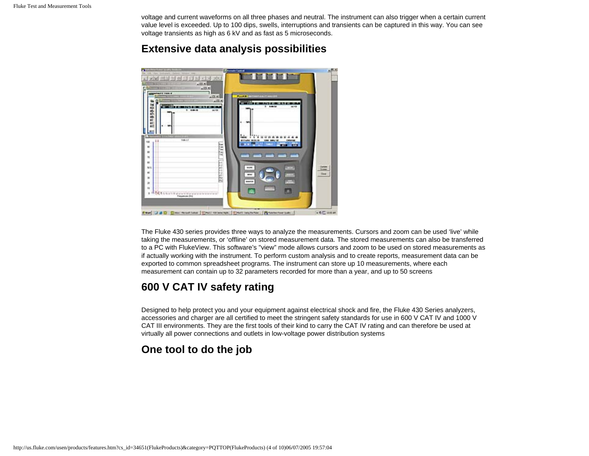voltage and current waveforms on all three phases and neutral. The instrument can also trigger when a certain current value level is exceeded. Up to 100 dips, swells, interruptions and transients can be captured in this way. You can see voltage transients as high as 6 kV and as fast as 5 microseconds.

#### **Extensive data analysis possibilities**



The Fluke 430 series provides three ways to analyze the measurements. Cursors and zoom can be used 'live' while taking the measurements, or 'offline' on stored measurement data. The stored measurements can also be transferred to a PC with FlukeView. This software's "view" mode allows cursors and zoom to be used on stored measurements as if actually working with the instrument. To perform custom analysis and to create reports, measurement data can be exported to common spreadsheet programs. The instrument can store up 10 measurements, where each measurement can contain up to 32 parameters recorded for more than a year, and up to 50 screens

## **600 V CAT IV safety rating**

Designed to help protect you and your equipment against electrical shock and fire, the Fluke 430 Series analyzers, accessories and charger are all certified to meet the stringent safety standards for use in 600 V CAT IV and 1000 V CAT III environments. They are the first tools of their kind to carry the CAT IV rating and can therefore be used at virtually all power connections and outlets in low-voltage power distribution systems

## **One tool to do the job**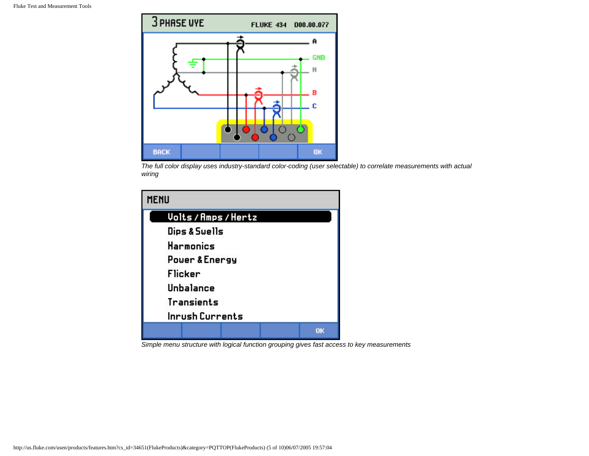

*The full color display uses industry-standard color-coding (user selectable) to correlate measurements with actual wiring*



*Simple menu structure with logical function grouping gives fast access to key measurements*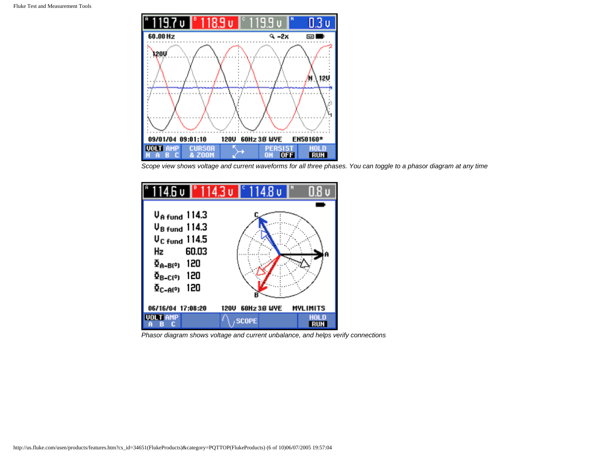

*Scope view shows voltage and current waveforms for all three phases. You can toggle to a phasor diagram at any time*



*Phasor diagram shows voltage and current unbalance, and helps verify connections*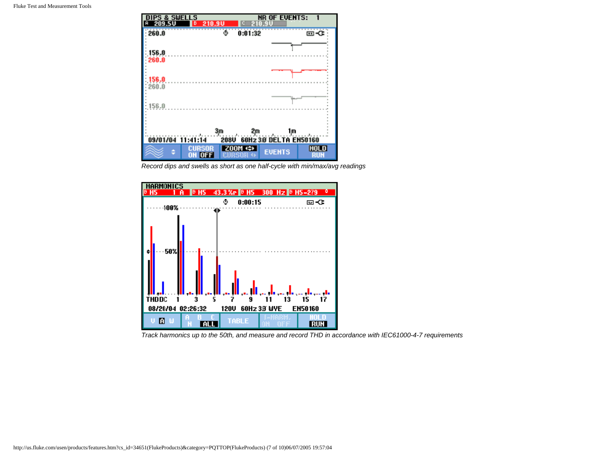

*Record dips and swells as short as one half-cycle with min/max/avg readings*



*Track harmonics up to the 50th, and measure and record THD in accordance with IEC61000-4-7 requirements*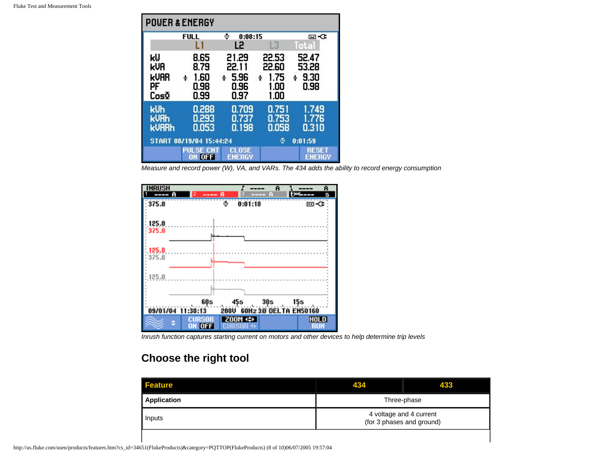| <b>POUER &amp; ENERGY</b>               |                                           |                                             |                                             |                                     |
|-----------------------------------------|-------------------------------------------|---------------------------------------------|---------------------------------------------|-------------------------------------|
|                                         | <b>FULL</b>                               | ۰<br>0:08:15                                |                                             | lo ⊠                                |
|                                         | П                                         | L2                                          | L3                                          | Total                               |
| kIJ<br>kVA<br><b>KUAR</b><br>PF<br>CosΩ | 8.65<br>8.79<br>1.60<br>÷<br>0.98<br>0.99 | 21.29<br>22.11<br>5.96<br>÷<br>0.96<br>0.97 | 22.53<br>22.60<br>1.75<br>÷<br>1.00<br>1.00 | 52.47<br>53.28<br>9.30<br>÷<br>0.98 |
| kUh<br><b>kUAh</b><br><b>kUARh</b>      | 0.288<br>0.293<br>0.053                   | 0.709<br>0.737<br>0.198                     | 0.751<br>0.753<br>0.058                     | 1.749<br>1.776<br>0.310             |
| START 08/19/04 15:44:24                 |                                           |                                             | 0:01:59<br>۰                                |                                     |
|                                         | PULSE CNT<br>ON OFF                       | <b>CLOSE</b><br><b>ENERGY</b>               |                                             | <b>RESET</b><br><b>ENERGY</b>       |

*Measure and record power (W), VA, and VARs. The 434 adds the ability to record energy consumption*



*Inrush function captures starting current on motors and other devices to help determine trip levels*

## **Choose the right tool**

| <b>Feature</b> | 434                                                  | 433 |  |
|----------------|------------------------------------------------------|-----|--|
| Application    | Three-phase                                          |     |  |
| Inputs         | 4 voltage and 4 current<br>(for 3 phases and ground) |     |  |
|                |                                                      |     |  |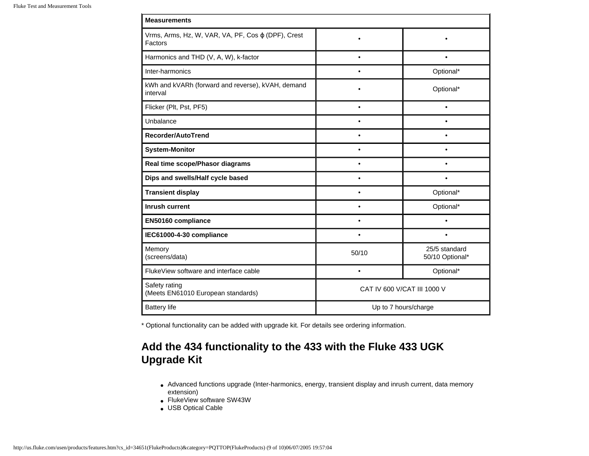| <b>Measurements</b>                                           |                             |                                  |  |  |
|---------------------------------------------------------------|-----------------------------|----------------------------------|--|--|
| Vrms, Arms, Hz, W, VAR, VA, PF, Cos φ (DPF), Crest<br>Factors |                             |                                  |  |  |
| Harmonics and THD (V, A, W), k-factor                         | $\bullet$                   | $\bullet$                        |  |  |
| Inter-harmonics                                               | $\bullet$                   | Optional*                        |  |  |
| kWh and kVARh (forward and reverse), kVAH, demand<br>interval |                             | Optional*                        |  |  |
| Flicker (Plt, Pst, PF5)                                       | $\bullet$                   | $\bullet$                        |  |  |
| Unbalance                                                     | $\bullet$                   | ٠                                |  |  |
| Recorder/AutoTrend                                            | ٠                           | $\bullet$                        |  |  |
| <b>System-Monitor</b>                                         |                             | ٠                                |  |  |
| Real time scope/Phasor diagrams                               |                             |                                  |  |  |
| Dips and swells/Half cycle based                              | $\bullet$                   | $\bullet$                        |  |  |
| <b>Transient display</b>                                      | $\bullet$                   | Optional*                        |  |  |
| <b>Inrush current</b>                                         | $\bullet$                   | Optional*                        |  |  |
| EN50160 compliance                                            |                             |                                  |  |  |
| IEC61000-4-30 compliance                                      | $\bullet$                   |                                  |  |  |
| Memory<br>(screens/data)                                      | 50/10                       | 25/5 standard<br>50/10 Optional* |  |  |
| Fluke View software and interface cable                       | $\bullet$                   | Optional*                        |  |  |
| Safety rating<br>(Meets EN61010 European standards)           | CAT IV 600 V/CAT III 1000 V |                                  |  |  |
| <b>Battery life</b>                                           | Up to 7 hours/charge        |                                  |  |  |

\* Optional functionality can be added with upgrade kit. For details see ordering information.

## **Add the 434 functionality to the 433 with the Fluke 433 UGK Upgrade Kit**

- Advanced functions upgrade (Inter-harmonics, energy, transient display and inrush current, data memory extension)
- FlukeView software SW43W
- USB Optical Cable